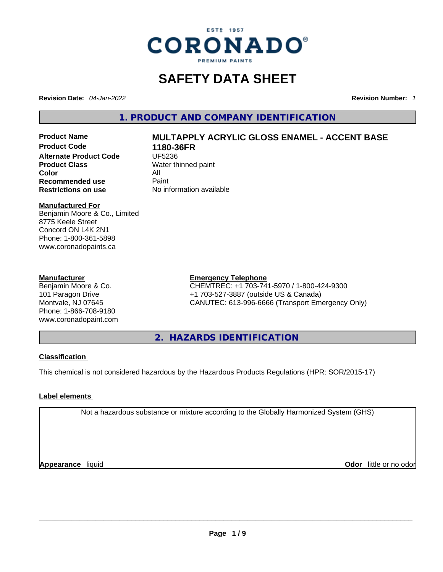

# **SAFETY DATA SHEET**

**Revision Date:** *04-Jan-2022* **Revision Number:** *1*

**1. PRODUCT AND COMPANY IDENTIFICATION** 

**Product Code 1180-36FR Alternate Product Code CODE UF5236 Product Class Water thinned paint**<br> **Color Color** All **Recommended use** Paint<br> **Restrictions on use** Mo information available **Restrictions** on use

# **Product Name MULTAPPLY ACRYLIC GLOSS ENAMEL - ACCENT BASE**

#### **Manufactured For**

Benjamin Moore & Co., Limited 8775 Keele Street Concord ON L4K 2N1 Phone: 1-800-361-5898 www.coronadopaints.ca

#### **Manufacturer**

Benjamin Moore & Co. 101 Paragon Drive Montvale, NJ 07645 Phone: 1-866-708-9180 www.coronadopaint.com

#### **Emergency Telephone**

CHEMTREC: +1 703-741-5970 / 1-800-424-9300 +1 703-527-3887 (outside US & Canada) CANUTEC: 613-996-6666 (Transport Emergency Only)

**2. HAZARDS IDENTIFICATION** 

#### **Classification**

This chemical is not considered hazardous by the Hazardous Products Regulations (HPR: SOR/2015-17)

#### **Label elements**

Not a hazardous substance or mixture according to the Globally Harmonized System (GHS)

**Appearance** liquid **Odor** little or no odor<br> **Appearance** liquid<br> **Odor** little or no odor **Odor** little or no odor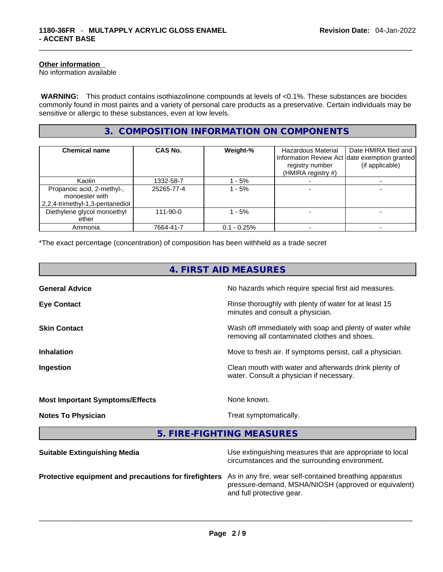#### **Other information**

No information available

 **WARNING:** This product contains isothiazolinone compounds at levels of <0.1%. These substances are biocides commonly found in most paints and a variety of personal care products as a preservative. Certain individuals may be sensitive or allergic to these substances, even at low levels.

#### **3. COMPOSITION INFORMATION ON COMPONENTS**

| <b>Chemical name</b>                                                            | CAS No.        | Weight-%       | <b>Hazardous Material</b><br>registry number<br>(HMIRA registry #) | Date HMIRA filed and<br>Information Review Act date exemption granted<br>(if applicable) |
|---------------------------------------------------------------------------------|----------------|----------------|--------------------------------------------------------------------|------------------------------------------------------------------------------------------|
| Kaolin                                                                          | 1332-58-7      | - 5%           |                                                                    |                                                                                          |
| Propanoic acid, 2-methyl-,<br>monoester with<br>2,2,4-trimethyl-1,3-pentanediol | 25265-77-4     | $-5%$          |                                                                    |                                                                                          |
| Diethylene glycol monoethyl<br>ether                                            | $111 - 90 - 0$ | $-5%$          |                                                                    |                                                                                          |
| Ammonia                                                                         | 7664-41-7      | $0.1 - 0.25\%$ |                                                                    |                                                                                          |

\*The exact percentage (concentration) of composition has been withheld as a trade secret

| 4. FIRST AID MEASURES                  |                                                                                                            |  |
|----------------------------------------|------------------------------------------------------------------------------------------------------------|--|
| <b>General Advice</b>                  | No hazards which require special first aid measures.                                                       |  |
| <b>Eye Contact</b>                     | Rinse thoroughly with plenty of water for at least 15<br>minutes and consult a physician.                  |  |
| <b>Skin Contact</b>                    | Wash off immediately with soap and plenty of water while<br>removing all contaminated clothes and shoes.   |  |
| <b>Inhalation</b>                      | Move to fresh air. If symptoms persist, call a physician.                                                  |  |
| Ingestion                              | Clean mouth with water and afterwards drink plenty of<br>water. Consult a physician if necessary.          |  |
| <b>Most Important Symptoms/Effects</b> | None known.                                                                                                |  |
| <b>Notes To Physician</b>              | Treat symptomatically.                                                                                     |  |
| 5. FIRE-FIGHTING MEASURES              |                                                                                                            |  |
| <b>Suitable Extinguishing Media</b>    | Use extinguishing measures that are appropriate to local<br>circumstances and the surrounding environment. |  |

**Protective equipment and precautions for firefighters** As in any fire, wear self-contained breathing apparatus pressure-demand, MSHA/NIOSH (approved or equivalent) and full protective gear. \_\_\_\_\_\_\_\_\_\_\_\_\_\_\_\_\_\_\_\_\_\_\_\_\_\_\_\_\_\_\_\_\_\_\_\_\_\_\_\_\_\_\_\_\_\_\_\_\_\_\_\_\_\_\_\_\_\_\_\_\_\_\_\_\_\_\_\_\_\_\_\_\_\_\_\_\_\_\_\_\_\_\_\_\_\_\_\_\_\_\_\_\_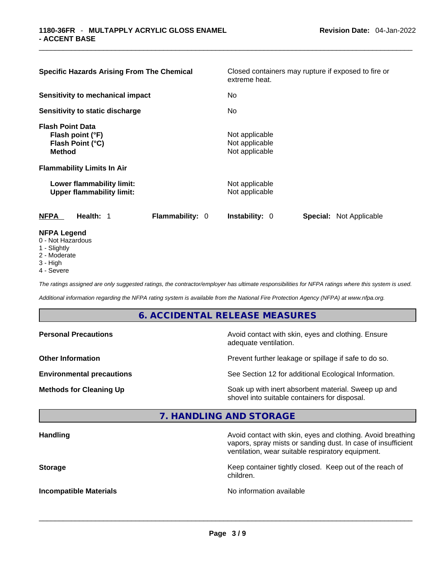| <b>Specific Hazards Arising From The Chemical</b>                                                  | extreme heat.                                      | Closed containers may rupture if exposed to fire or |  |  |
|----------------------------------------------------------------------------------------------------|----------------------------------------------------|-----------------------------------------------------|--|--|
| Sensitivity to mechanical impact                                                                   | No.                                                |                                                     |  |  |
| Sensitivity to static discharge                                                                    | No                                                 |                                                     |  |  |
| <b>Flash Point Data</b><br>Flash point (°F)<br>Flash Point (°C)<br><b>Method</b>                   | Not applicable<br>Not applicable<br>Not applicable |                                                     |  |  |
| <b>Flammability Limits In Air</b><br>Lower flammability limit:<br><b>Upper flammability limit:</b> | Not applicable<br>Not applicable                   |                                                     |  |  |
| Health: 1<br><b>NFPA</b>                                                                           | Flammability: 0<br><b>Instability: 0</b>           | Special: Not Applicable                             |  |  |
| <b>NFPA Legend</b><br>0 - Not Hazardous<br>1 - Slightly                                            |                                                    |                                                     |  |  |

- 
- 2 Moderate
- 3 High
- 4 Severe

*The ratings assigned are only suggested ratings, the contractor/employer has ultimate responsibilities for NFPA ratings where this system is used.* 

*Additional information regarding the NFPA rating system is available from the National Fire Protection Agency (NFPA) at www.nfpa.org.* 

#### **6. ACCIDENTAL RELEASE MEASURES**

| <b>Personal Precautions</b>      | Avoid contact with skin, eyes and clothing. Ensure<br>adequate ventilation.                          |
|----------------------------------|------------------------------------------------------------------------------------------------------|
| <b>Other Information</b>         | Prevent further leakage or spillage if safe to do so.                                                |
| <b>Environmental precautions</b> | See Section 12 for additional Ecological Information.                                                |
| <b>Methods for Cleaning Up</b>   | Soak up with inert absorbent material. Sweep up and<br>shovel into suitable containers for disposal. |

### **7. HANDLING AND STORAGE**

| Avoid contact with skin, eyes and clothing. Avoid breathing<br>vapors, spray mists or sanding dust. In case of insufficient<br>ventilation, wear suitable respiratory equipment. |
|----------------------------------------------------------------------------------------------------------------------------------------------------------------------------------|
| Keep container tightly closed. Keep out of the reach of<br>children.                                                                                                             |
| No information available                                                                                                                                                         |
|                                                                                                                                                                                  |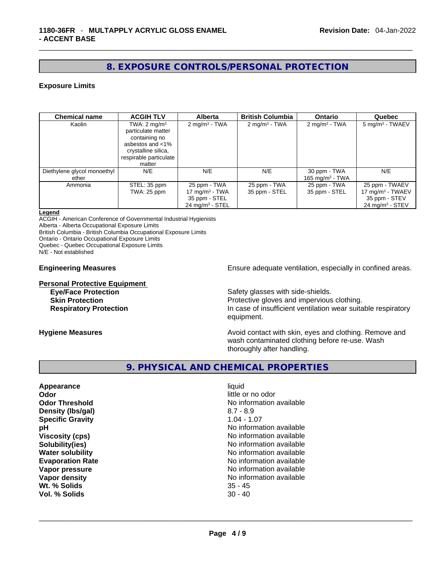#### **8. EXPOSURE CONTROLS/PERSONAL PROTECTION**

#### **Exposure Limits**

| <b>Chemical name</b>        | <b>ACGIH TLV</b>        | <b>Alberta</b>                | <b>British Columbia</b>  | <b>Ontario</b>              | Quebec                        |
|-----------------------------|-------------------------|-------------------------------|--------------------------|-----------------------------|-------------------------------|
| Kaolin                      | TWA: $2 \text{ mg/m}^3$ | $2 \text{ mg/m}^3$ - TWA      | $2 \text{ mg/m}^3$ - TWA | 2 mg/m <sup>3</sup> - TWA   | 5 mg/m <sup>3</sup> - TWAEV   |
|                             | particulate matter      |                               |                          |                             |                               |
|                             | containing no           |                               |                          |                             |                               |
|                             | asbestos and <1%        |                               |                          |                             |                               |
|                             | crystalline silica,     |                               |                          |                             |                               |
|                             | respirable particulate  |                               |                          |                             |                               |
|                             | matter                  |                               |                          |                             |                               |
| Diethylene glycol monoethyl | N/E                     | N/E                           | N/E                      | 30 ppm - TWA                | N/E                           |
| ether                       |                         |                               |                          | 165 mg/m <sup>3</sup> - TWA |                               |
| Ammonia                     | STEL: 35 ppm            | 25 ppm - TWA                  | 25 ppm - TWA             | 25 ppm - TWA                | 25 ppm - TWAEV                |
|                             | <b>TWA: 25 ppm</b>      | 17 mg/m $3$ - TWA             | 35 ppm - STEL            | 35 ppm - STEL               | 17 mg/m $3$ - TWAEV           |
|                             |                         | 35 ppm - STEL                 |                          |                             | 35 ppm - STEV                 |
|                             |                         | $24$ mg/m <sup>3</sup> - STEL |                          |                             | $24$ mg/m <sup>3</sup> - STEV |

#### **Legend**

ACGIH - American Conference of Governmental Industrial Hygienists

Alberta - Alberta Occupational Exposure Limits

British Columbia - British Columbia Occupational Exposure Limits

Ontario - Ontario Occupational Exposure Limits

Quebec - Quebec Occupational Exposure Limits

N/E - Not established

#### **Personal Protective Equipment**

**Engineering Measures Ensure 2018** Ensure adequate ventilation, especially in confined areas.

**Eye/Face Protection Safety glasses with side-shields.** 

**Skin Protection Protection Protective gloves and impervious clothing. Respiratory Protection In case of insufficient ventilation wear suitable respiratory** equipment.

**Hygiene Measures Avoid contact with skin, eyes and clothing. Remove and Hygiene Measures** and clothing. Remove and wash contaminated clothing before re-use. Wash thoroughly after handling.

#### **9. PHYSICAL AND CHEMICAL PROPERTIES**

| Appearance              | liquid            |
|-------------------------|-------------------|
| Odor                    | little or no odor |
| <b>Odor Threshold</b>   | No information av |
| Density (Ibs/gal)       | $8.7 - 8.9$       |
| <b>Specific Gravity</b> | $1.04 - 1.07$     |
| рH                      | No information av |
| <b>Viscosity (cps)</b>  | No information av |
| Solubility(ies)         | No information av |
| <b>Water solubility</b> | No information av |
| <b>Evaporation Rate</b> | No information av |
| Vapor pressure          | No information av |
| Vapor density           | No information av |
| Wt. % Solids            | $35 - 45$         |
| Vol. % Solids           | $30 - 40$         |

**Odor** little or no odor **No information available Density (lbs/gal)** 8.7 - 8.9 **Specific Gravity** 1.04 - 1.07 No information available **Viscosity (cps)** No information available **Solubility(ies)** No information available **No information available Evaporation Rate** No information available **No information available No information available Wt. % Solids** 35 - 45 **Vol. % Solids** 30 - 40 \_\_\_\_\_\_\_\_\_\_\_\_\_\_\_\_\_\_\_\_\_\_\_\_\_\_\_\_\_\_\_\_\_\_\_\_\_\_\_\_\_\_\_\_\_\_\_\_\_\_\_\_\_\_\_\_\_\_\_\_\_\_\_\_\_\_\_\_\_\_\_\_\_\_\_\_\_\_\_\_\_\_\_\_\_\_\_\_\_\_\_\_\_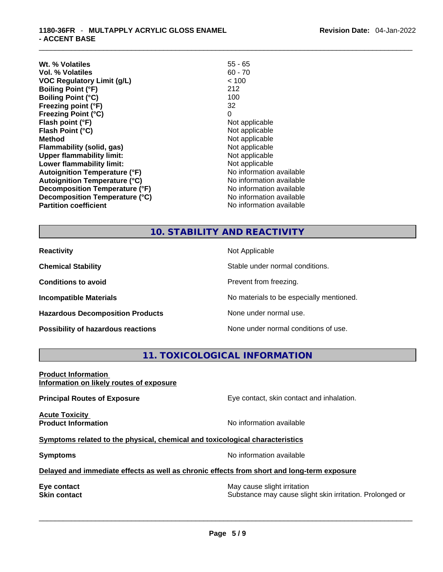| Wt. % Volatiles                      | $55 - 65$                |
|--------------------------------------|--------------------------|
| Vol. % Volatiles                     | $60 - 70$                |
| <b>VOC Regulatory Limit (g/L)</b>    | < 100                    |
| <b>Boiling Point (°F)</b>            | 212                      |
| <b>Boiling Point (°C)</b>            | 100                      |
| Freezing point (°F)                  | 32                       |
| <b>Freezing Point (°C)</b>           | 0                        |
| Flash point (°F)                     | Not applicable           |
| Flash Point (°C)                     | Not applicable           |
| <b>Method</b>                        | Not applicable           |
| Flammability (solid, gas)            | Not applicable           |
| <b>Upper flammability limit:</b>     | Not applicable           |
| Lower flammability limit:            | Not applicable           |
| <b>Autoignition Temperature (°F)</b> | No information available |
| <b>Autoignition Temperature (°C)</b> | No information available |
| Decomposition Temperature (°F)       | No information available |
| Decomposition Temperature (°C)       | No information available |
| <b>Partition coefficient</b>         | No information available |

#### **10. STABILITY AND REACTIVITY**

| <b>Reactivity</b>                         | Not Applicable                           |
|-------------------------------------------|------------------------------------------|
| <b>Chemical Stability</b>                 | Stable under normal conditions.          |
| <b>Conditions to avoid</b>                | Prevent from freezing.                   |
| <b>Incompatible Materials</b>             | No materials to be especially mentioned. |
| <b>Hazardous Decomposition Products</b>   | None under normal use.                   |
| <b>Possibility of hazardous reactions</b> | None under normal conditions of use.     |

#### **11. TOXICOLOGICAL INFORMATION**

#### **Product Information Information on likely routes of exposure**

**Principal Routes of Exposure Exposure** Eye contact, skin contact and inhalation.

**Acute Toxicity** 

**Product Information Information No information available** 

#### **Symptoms related to the physical,chemical and toxicological characteristics**

**Symptoms Symptoms No information available** 

#### **Delayed and immediate effects as well as chronic effects from short and long-term exposure**

**Eye contact <b>Executes** Contact **Executes** Contact **Skin contact Contact Contact Contact Contact Contact Contact Contact Contact Contact Contact Contact Contact Contact Contact Contact Contact Contact Contact Contact Conta** Substance may cause slight skin irritation. Prolonged or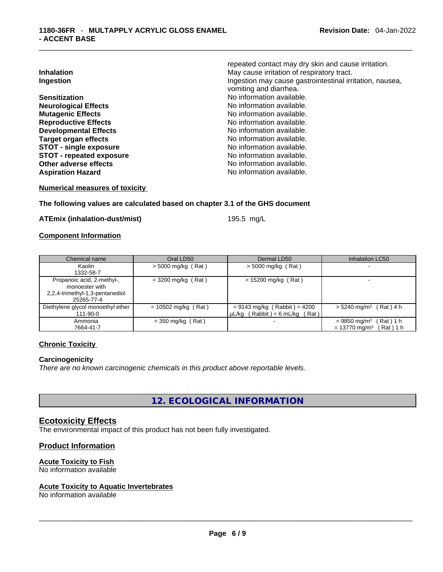| <b>Inhalation</b><br>Ingestion  | repeated contact may dry skin and cause irritation.<br>May cause irritation of respiratory tract.<br>Ingestion may cause gastrointestinal irritation, nausea,<br>vomiting and diarrhea. |
|---------------------------------|-----------------------------------------------------------------------------------------------------------------------------------------------------------------------------------------|
| <b>Sensitization</b>            | No information available.                                                                                                                                                               |
| <b>Neurological Effects</b>     | No information available.                                                                                                                                                               |
| <b>Mutagenic Effects</b>        | No information available.                                                                                                                                                               |
| <b>Reproductive Effects</b>     | No information available.                                                                                                                                                               |
| <b>Developmental Effects</b>    | No information available.                                                                                                                                                               |
| <b>Target organ effects</b>     | No information available.                                                                                                                                                               |
| <b>STOT - single exposure</b>   | No information available.                                                                                                                                                               |
| <b>STOT - repeated exposure</b> | No information available.                                                                                                                                                               |
| Other adverse effects           | No information available.                                                                                                                                                               |
| <b>Aspiration Hazard</b>        | No information available.                                                                                                                                                               |

**Numerical measures of toxicity**

#### **The following values are calculated based on chapter 3.1 of the GHS document**

**ATEmix (inhalation-dust/mist)** 195.5 mg/L

#### **Component Information**

| Chemical name                                       | Oral LD50             | Dermal LD50                                                           | <b>Inhalation LC50</b>                   |
|-----------------------------------------------------|-----------------------|-----------------------------------------------------------------------|------------------------------------------|
| Kaolin                                              | $>$ 5000 mg/kg (Rat)  | $>$ 5000 mg/kg (Rat)                                                  |                                          |
| 1332-58-7                                           |                       |                                                                       |                                          |
| Propanoic acid, 2-methyl-,<br>monoester with        | $= 3200$ mg/kg (Rat)  | $> 15200$ mg/kg (Rat)                                                 |                                          |
| 2,2,4-trimethyl-1,3-pentanediol<br>25265-77-4       |                       |                                                                       |                                          |
| Diethylene glycol monoethyl ether<br>$111 - 90 - 0$ | $= 10502$ mg/kg (Rat) | $= 9143$ mg/kg (Rabbit) = 4200<br>$\mu$ L/kg (Rabbit) = 6 mL/kg (Rat) | $> 5240$ mg/m <sup>3</sup> (Rat) 4 h     |
| Ammonia                                             | $=$ 350 mg/kg (Rat)   | $\overline{\phantom{a}}$                                              | (Rat) 1 h<br>$= 9850$ mg/m <sup>3</sup>  |
| 7664-41-7                                           |                       |                                                                       | $= 13770$ mg/m <sup>3</sup><br>(Rat) 1 h |

#### **Chronic Toxicity**

#### **Carcinogenicity**

*There are no known carcinogenic chemicals in this product above reportable levels.* 

**12. ECOLOGICAL INFORMATION** 

#### **Ecotoxicity Effects**

The environmental impact of this product has not been fully investigated.

#### **Product Information**

## **Acute Toxicity to Fish**

# No information available \_\_\_\_\_\_\_\_\_\_\_\_\_\_\_\_\_\_\_\_\_\_\_\_\_\_\_\_\_\_\_\_\_\_\_\_\_\_\_\_\_\_\_\_\_\_\_\_\_\_\_\_\_\_\_\_\_\_\_\_\_\_\_\_\_\_\_\_\_\_\_\_\_\_\_\_\_\_\_\_\_\_\_\_\_\_\_\_\_\_\_\_\_ **Acute Toxicity to Aquatic Invertebrates**

No information available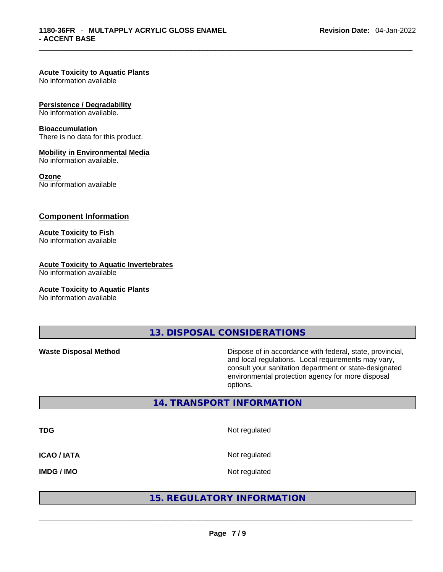#### **Acute Toxicity to Aquatic Plants**

No information available

#### **Persistence / Degradability**

No information available.

#### **Bioaccumulation**

There is no data for this product.

#### **Mobility in Environmental Media**

No information available.

#### **Ozone**

No information available

#### **Component Information**

#### **Acute Toxicity to Fish**

No information available

#### **Acute Toxicity to Aquatic Invertebrates**

No information available

#### **Acute Toxicity to Aquatic Plants**

No information available

**13. DISPOSAL CONSIDERATIONS** 

**Waste Disposal Method** Dispose of in accordance with federal, state, provincial, and local regulations. Local requirements may vary, consult your sanitation department or state-designated environmental protection agency for more disposal options.

#### **14. TRANSPORT INFORMATION**

| <b>TDG</b>         | Not regulated                     |  |
|--------------------|-----------------------------------|--|
| <b>ICAO / IATA</b> | Not regulated                     |  |
| <b>IMDG / IMO</b>  | Not regulated                     |  |
|                    | <b>15. REGULATORY INFORMATION</b> |  |
|                    |                                   |  |

#### **15. REGULATORY INFORMATION**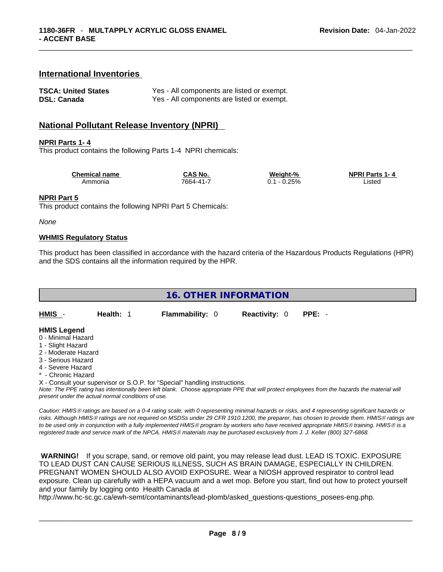#### **International Inventories**

| <b>TSCA: United States</b> | Yes - All components are listed or exempt. |
|----------------------------|--------------------------------------------|
| <b>DSL: Canada</b>         | Yes - All components are listed or exempt. |

#### **National Pollutant Release Inventory (NPRI)**

#### **NPRI Parts 1- 4**

This product contains the following Parts 1-4 NPRI chemicals:

| <b>Chemical name</b> | CAS No.   | Weiaht-%       | <b>NPRI Parts 1-4</b> |
|----------------------|-----------|----------------|-----------------------|
| Ammonia              | 7664-41-7 | 0.25%<br>. v., | Listec                |

#### **NPRI Part 5**

This product contains the following NPRI Part 5 Chemicals:

*None*

#### **WHMIS Regulatory Status**

This product has been classified in accordance with the hazard criteria of the Hazardous Products Regulations (HPR) and the SDS contains all the information required by the HPR.

| <b>16. OTHER INFORMATION</b> |         |                        |                      |      |  |
|------------------------------|---------|------------------------|----------------------|------|--|
| <b>HMIS</b>                  | Health: | <b>Flammability: 0</b> | <b>Reactivity: 0</b> | PPE: |  |

### **HMIS Legend**

- 0 Minimal Hazard
- 1 Slight Hazard
- 2 Moderate Hazard
- 3 Serious Hazard
- 4 Severe Hazard
- \* Chronic Hazard

X - Consult your supervisor or S.O.P. for "Special" handling instructions.

Note: The PPE rating has intentionally been left blank. Choose appropriate PPE that will protect employees from the hazards the material will *present under the actual normal conditions of use.* 

*Caution: HMISÒ ratings are based on a 0-4 rating scale, with 0 representing minimal hazards or risks, and 4 representing significant hazards or risks. Although HMISÒ ratings are not required on MSDSs under 29 CFR 1910.1200, the preparer, has chosen to provide them. HMISÒ ratings are to be used only in conjunction with a fully implemented HMISÒ program by workers who have received appropriate HMISÒ training. HMISÒ is a registered trade and service mark of the NPCA. HMISÒ materials may be purchased exclusively from J. J. Keller (800) 327-6868.* 

 **WARNING!** If you scrape, sand, or remove old paint, you may release lead dust. LEAD IS TOXIC. EXPOSURE TO LEAD DUST CAN CAUSE SERIOUS ILLNESS, SUCH AS BRAIN DAMAGE, ESPECIALLY IN CHILDREN. PREGNANT WOMEN SHOULD ALSO AVOID EXPOSURE.Wear a NIOSH approved respirator to control lead exposure. Clean up carefully with a HEPA vacuum and a wet mop. Before you start, find out how to protect yourself and your family by logging onto Health Canada at

http://www.hc-sc.gc.ca/ewh-semt/contaminants/lead-plomb/asked\_questions-questions\_posees-eng.php.